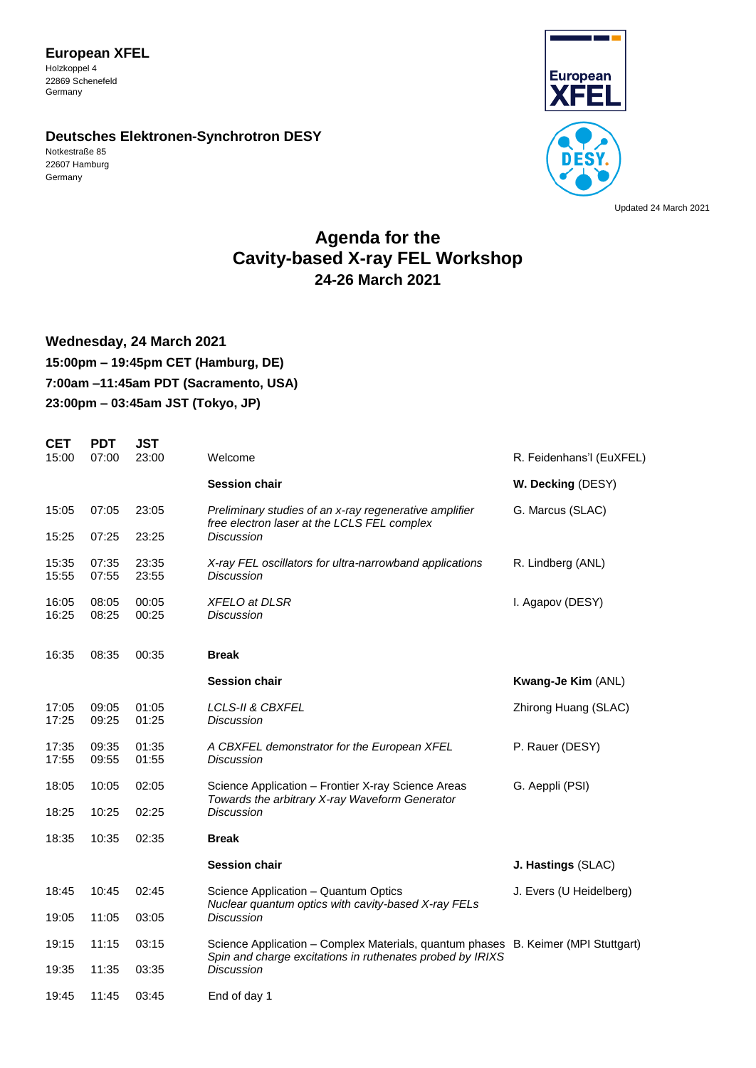**European XFEL**  Holzkoppel 4 22869 Schenefeld Germany

#### **Deutsches Elektronen-Synchrotron DESY**

Notkestraße 85 22607 Hamburg Germany



Updated 24 March 2021

# **Agenda for the Cavity-based X-ray FEL Workshop 24-26 March 2021**

## **Wednesday, 24 March 2021 15:00pm – 19:45pm CET (Hamburg, DE) 7:00am –11:45am PDT (Sacramento, USA) 23:00pm – 03:45am JST (Tokyo, JP)**

| <b>CET</b>     | <b>PDT</b>     | <b>JST</b>     |                                                                                                                                                |                          |
|----------------|----------------|----------------|------------------------------------------------------------------------------------------------------------------------------------------------|--------------------------|
| 15:00          | 07:00          | 23:00          | Welcome                                                                                                                                        | R. Feidenhans'l (EuXFEL) |
|                |                |                | <b>Session chair</b>                                                                                                                           | W. Decking (DESY)        |
| 15:05          | 07:05          | 23:05          | Preliminary studies of an x-ray regenerative amplifier<br>free electron laser at the LCLS FEL complex                                          | G. Marcus (SLAC)         |
| 15:25          | 07:25          | 23:25          | Discussion                                                                                                                                     |                          |
| 15:35<br>15:55 | 07:35<br>07:55 | 23:35<br>23:55 | X-ray FEL oscillators for ultra-narrowband applications<br><b>Discussion</b>                                                                   | R. Lindberg (ANL)        |
| 16:05<br>16:25 | 08:05<br>08:25 | 00:05<br>00:25 | <b>XFELO at DLSR</b><br><b>Discussion</b>                                                                                                      | I. Agapov (DESY)         |
| 16:35          | 08:35          | 00:35          | <b>Break</b>                                                                                                                                   |                          |
|                |                |                | <b>Session chair</b>                                                                                                                           | Kwang-Je Kim (ANL)       |
| 17:05<br>17:25 | 09:05<br>09:25 | 01:05<br>01:25 | <b>LCLS-II &amp; CBXFEL</b><br><b>Discussion</b>                                                                                               | Zhirong Huang (SLAC)     |
| 17:35<br>17:55 | 09:35<br>09:55 | 01:35<br>01:55 | A CBXFEL demonstrator for the European XFEL<br>Discussion                                                                                      | P. Rauer (DESY)          |
| 18:05          | 10:05          | 02:05          | Science Application - Frontier X-ray Science Areas<br>Towards the arbitrary X-ray Waveform Generator                                           | G. Aeppli (PSI)          |
| 18:25          | 10:25          | 02:25          | Discussion                                                                                                                                     |                          |
| 18:35          | 10:35          | 02:35          | <b>Break</b>                                                                                                                                   |                          |
|                |                |                | <b>Session chair</b>                                                                                                                           | J. Hastings (SLAC)       |
| 18:45          | 10:45          | 02:45          | Science Application - Quantum Optics<br>Nuclear quantum optics with cavity-based X-ray FELs                                                    | J. Evers (U Heidelberg)  |
| 19:05          | 11:05          | 03:05          | <b>Discussion</b>                                                                                                                              |                          |
| 19:15          | 11:15          | 03:15          | Science Application - Complex Materials, quantum phases B. Keimer (MPI Stuttgart)<br>Spin and charge excitations in ruthenates probed by IRIXS |                          |
| 19:35          | 11:35          | 03:35          | <b>Discussion</b>                                                                                                                              |                          |
| 19:45          | 11:45          | 03:45          | End of day 1                                                                                                                                   |                          |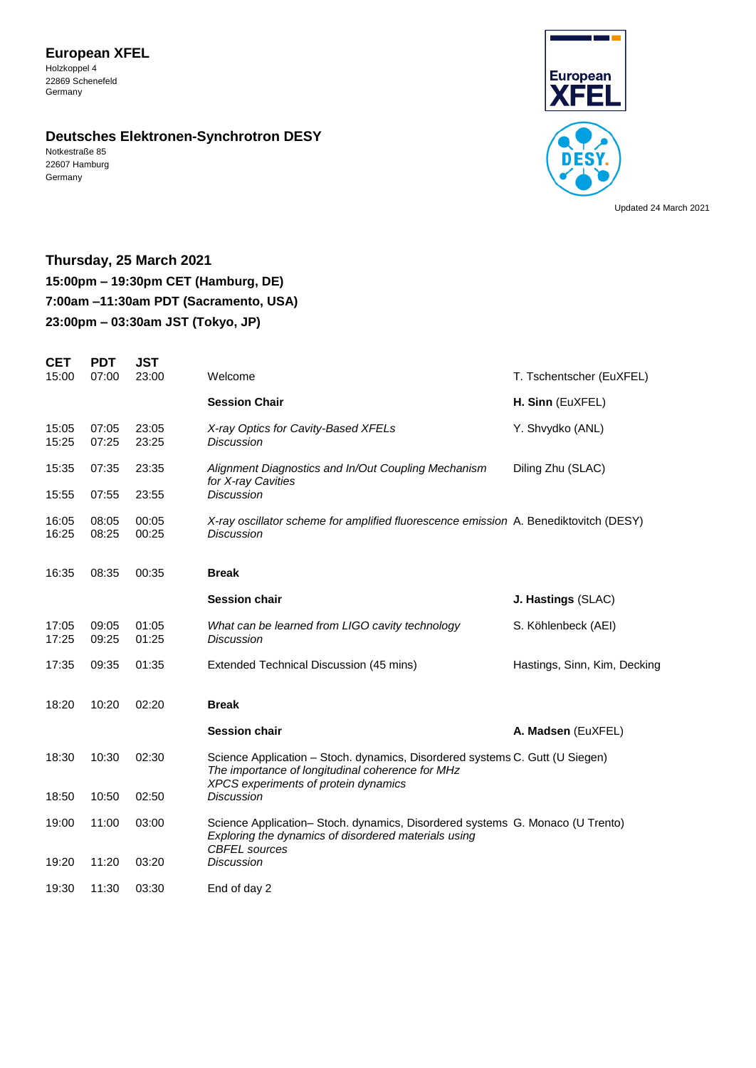## **European XFEL**

Holzkoppel 4 22869 Schenefeld Germany

### **Deutsches Elektronen-Synchrotron DESY**

Notkestraße 85 22607 Hamburg Germany



Updated 24 March 2021

## **Thursday, 25 March 2021 15:00pm – 19:30pm CET (Hamburg, DE) 7:00am –11:30am PDT (Sacramento, USA) 23:00pm – 03:30am JST (Tokyo, JP)**

| <b>CET</b>     | <b>PDT</b>     | JST            |                                                                                                                                                                          |                              |
|----------------|----------------|----------------|--------------------------------------------------------------------------------------------------------------------------------------------------------------------------|------------------------------|
| 15:00          | 07:00          | 23:00          | Welcome                                                                                                                                                                  | T. Tschentscher (EuXFEL)     |
|                |                |                | <b>Session Chair</b>                                                                                                                                                     | H. Sinn (EuXFEL)             |
| 15:05<br>15:25 | 07:05<br>07:25 | 23:05<br>23:25 | X-ray Optics for Cavity-Based XFELs<br><b>Discussion</b>                                                                                                                 | Y. Shvydko (ANL)             |
| 15:35          | 07:35          | 23:35          | Alignment Diagnostics and In/Out Coupling Mechanism<br>for X-ray Cavities                                                                                                | Diling Zhu (SLAC)            |
| 15:55          | 07:55          | 23:55          | <b>Discussion</b>                                                                                                                                                        |                              |
| 16:05<br>16:25 | 08:05<br>08:25 | 00:05<br>00:25 | X-ray oscillator scheme for amplified fluorescence emission A. Benediktovitch (DESY)<br><b>Discussion</b>                                                                |                              |
| 16:35          | 08:35          | 00:35          | <b>Break</b>                                                                                                                                                             |                              |
|                |                |                | <b>Session chair</b>                                                                                                                                                     | J. Hastings (SLAC)           |
| 17:05<br>17:25 | 09:05<br>09:25 | 01:05<br>01:25 | What can be learned from LIGO cavity technology<br><b>Discussion</b>                                                                                                     | S. Köhlenbeck (AEI)          |
| 17:35          | 09:35          | 01:35          | Extended Technical Discussion (45 mins)                                                                                                                                  | Hastings, Sinn, Kim, Decking |
| 18:20          | 10:20          | 02:20          | <b>Break</b>                                                                                                                                                             |                              |
|                |                |                | <b>Session chair</b>                                                                                                                                                     | A. Madsen (EuXFEL)           |
| 18:30          | 10:30          | 02:30          | Science Application - Stoch. dynamics, Disordered systems C. Gutt (U Siegen)<br>The importance of longitudinal coherence for MHz<br>XPCS experiments of protein dynamics |                              |
| 18:50          | 10:50          | 02:50          | <b>Discussion</b>                                                                                                                                                        |                              |
| 19:00          | 11:00          | 03:00          | Science Application- Stoch. dynamics, Disordered systems G. Monaco (U Trento)<br>Exploring the dynamics of disordered materials using<br><b>CBFEL</b> sources            |                              |
| 19:20          | 11:20          | 03:20          | <b>Discussion</b>                                                                                                                                                        |                              |
| 19:30          | 11:30          | 03:30          | End of day 2                                                                                                                                                             |                              |